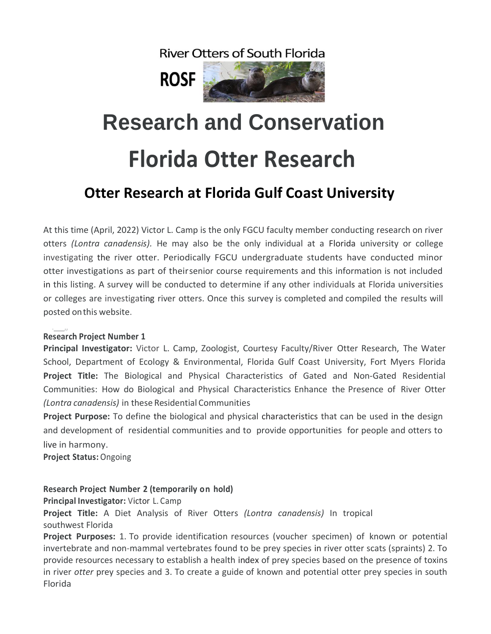**River Otters of South Florida** 



# **Research and Conservation Florida Otter Research**

## **Otter Research at Florida Gulf Coast University**

At this time (April, 2022) Victor L. Camp is the only FGCU faculty member conducting research on river otters *(Lontra canadensis).* He may also be the only individual at a Florida university or college investigating the river otter. Periodically FGCU undergraduate students have conducted minor otter investigations as part of theirsenior course requirements and this information is not included in this listing. A survey will be conducted to determine if any other individuals at Florida universities or colleges are investigating river otters. Once this survey is completed and compiled the results will posted onthis website.

#### $\frac{1}{\sqrt{2}}$ **Research Project Number 1**

**Principal Investigator:** Victor L. Camp, Zoologist, Courtesy Faculty/River Otter Research, The Water School, Department of Ecology & Environmental, Florida Gulf Coast University, Fort Myers Florida **Project Title:** The Biological and Physical Characteristics of Gated and Non-Gated Residential Communities: How do Biological and Physical Characteristics Enhance the Presence of River Otter *(Lontra canadensis)* in these Residential Communities

**Project Purpose:** To define the biological and physical characteristics that can be used in the design and development of residential communities and to provide opportunities for people and otters to live in harmony.

**Project Status:** Ongoing

### **Research Project Number 2 (temporarily on hold)**

**Principal Investigator:** Victor L. Camp

**Project Title:** A Diet Analysis of River Otters *(Lontra canadensis)* In tropical southwest Florida

**Project Purposes:** 1. To provide identification resources (voucher specimen) of known or potential invertebrate and non-mammal vertebrates found to be prey species in river otter scats (spraints) 2. To provide resources necessary to establish a health index of prey species based on the presence of toxins in river *otter* prey species and 3. To create a guide of known and potential otter prey species in south Florida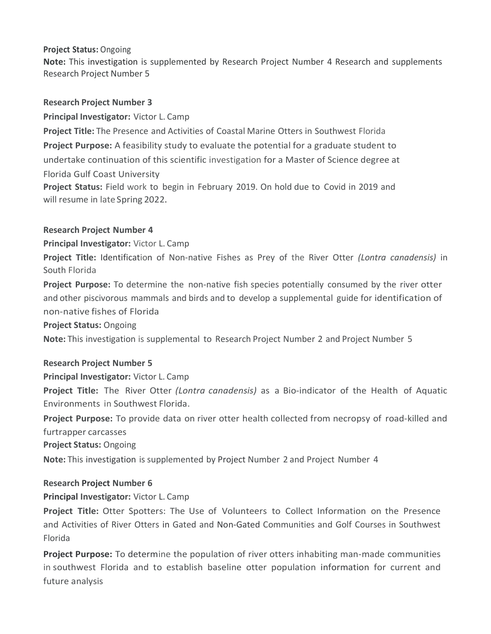### **Project Status:** Ongoing

**Note:** This investigation is supplemented by Research Project Number 4 Research and supplements Research Project Number 5

#### **Research Project Number 3**

**Principal Investigator:** Victor L. Camp

**Project Title:** The Presence and Activities of Coastal Marine Otters in Southwest Florida **Project Purpose:** A feasibility study to evaluate the potential for a graduate student to undertake continuation of this scientific investigation for a Master of Science degree at Florida Gulf Coast University

**Project Status:** Field work to begin in February 2019. On hold due to Covid in 2019 and will resume in late Spring 2022.

#### **Research Project Number 4**

**Principal Investigator:** Victor L. Camp

**Project Title:** Identification of Non-native Fishes as Prey of the River Otter *(Lontra canadensis)* in South Florida

**Project Purpose:** To determine the non-native fish species potentially consumed by the river otter and other piscivorous mammals and birds and to develop a supplemental guide for identification of non-native fishes of Florida

**Project Status:** Ongoing

**Note:** This investigation is supplemental to Research Project Number 2 and Project Number 5

#### **Research Project Number 5**

**Principal Investigator:** Victor L. Camp

**Project Title:** The River Otter *(Lontra canadensis)* as a Bio-indicator of the Health of Aquatic Environments in Southwest Florida.

**Project Purpose:** To provide data on river otter health collected from necropsy of road-killed and furtrapper carcasses

**Project Status:** Ongoing

**Note:** This investigation is supplemented by Project Number 2 and Project Number 4

#### **Research Project Number 6**

#### **Principal Investigator:** Victor L. Camp

**Project Title:** Otter Spotters: The Use of Volunteers to Collect Information on the Presence and Activities of River Otters in Gated and Non-Gated Communities and Golf Courses in Southwest Florida

**Project Purpose:** To determine the population of river otters inhabiting man-made communities in southwest Florida and to establish baseline otter population information for current and future analysis